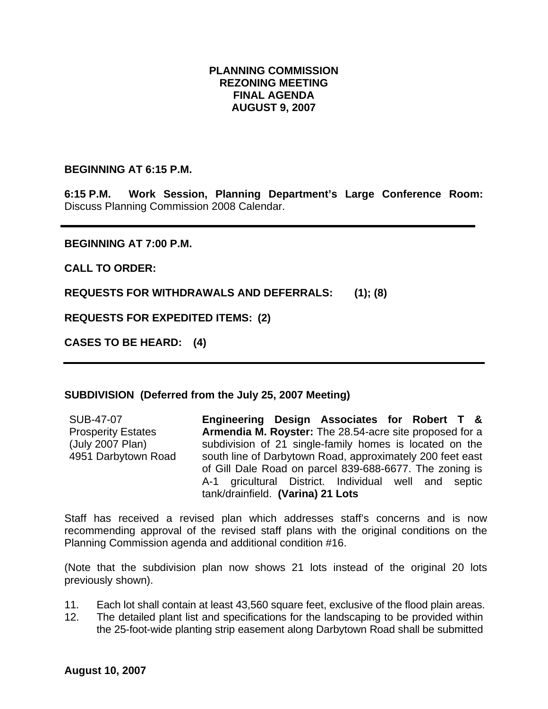## **PLANNING COMMISSION REZONING MEETING FINAL AGENDA AUGUST 9, 2007**

## **BEGINNING AT 6:15 P.M.**

**6:15 P.M. Work Session, Planning Department's Large Conference Room:** Discuss Planning Commission 2008 Calendar.

## **BEGINNING AT 7:00 P.M.**

**CALL TO ORDER:** 

**REQUESTS FOR WITHDRAWALS AND DEFERRALS: (1); (8)** 

**REQUESTS FOR EXPEDITED ITEMS: (2)** 

**CASES TO BE HEARD: (4)** 

## **SUBDIVISION (Deferred from the July 25, 2007 Meeting)**

SUB-47-07 Prosperity Estates (July 2007 Plan) 4951 Darbytown Road **Engineering Design Associates for Robert T & Armendia M. Royster:** The 28.54-acre site proposed for a subdivision of 21 single-family homes is located on the south line of Darbytown Road, approximately 200 feet east of Gill Dale Road on parcel 839-688-6677. The zoning is A-1 gricultural District. Individual well and septic tank/drainfield. **(Varina) 21 Lots** 

Staff has received a revised plan which addresses staff's concerns and is now recommending approval of the revised staff plans with the original conditions on the Planning Commission agenda and additional condition #16.

(Note that the subdivision plan now shows 21 lots instead of the original 20 lots previously shown).

- 11. Each lot shall contain at least 43,560 square feet, exclusive of the flood plain areas.
- 12. The detailed plant list and specifications for the landscaping to be provided within the 25-foot-wide planting strip easement along Darbytown Road shall be submitted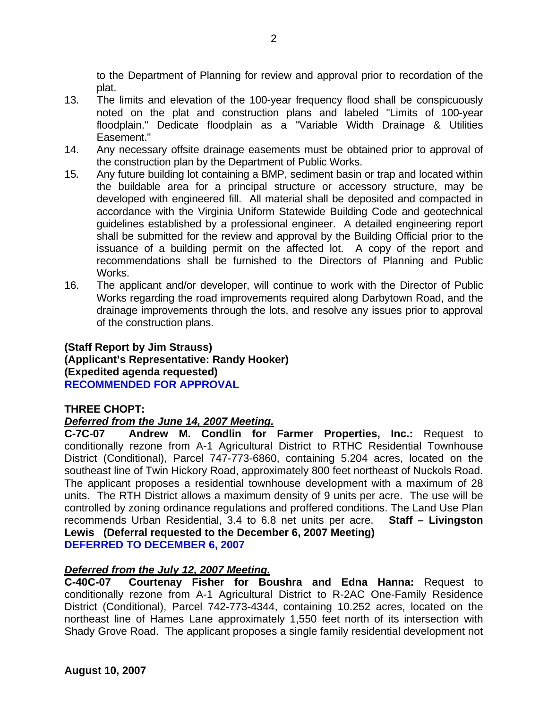to the Department of Planning for review and approval prior to recordation of the plat.

- 13. The limits and elevation of the 100-year frequency flood shall be conspicuously noted on the plat and construction plans and labeled "Limits of 100-year floodplain." Dedicate floodplain as a "Variable Width Drainage & Utilities Easement."
- 14. Any necessary offsite drainage easements must be obtained prior to approval of the construction plan by the Department of Public Works.
- 15. Any future building lot containing a BMP, sediment basin or trap and located within the buildable area for a principal structure or accessory structure, may be developed with engineered fill. All material shall be deposited and compacted in accordance with the Virginia Uniform Statewide Building Code and geotechnical guidelines established by a professional engineer. A detailed engineering report shall be submitted for the review and approval by the Building Official prior to the issuance of a building permit on the affected lot. A copy of the report and recommendations shall be furnished to the Directors of Planning and Public Works.
- 16. The applicant and/or developer, will continue to work with the Director of Public Works regarding the road improvements required along Darbytown Road, and the drainage improvements through the lots, and resolve any issues prior to approval of the construction plans.

## **(Staff Report by Jim Strauss) (Applicant's Representative: Randy Hooker) (Expedited agenda requested) RECOMMENDED FOR APPROVAL**

# **THREE CHOPT:**

# *Deferred from the June 14, 2007 Meeting.*

**C-7C-07 Andrew M. Condlin for Farmer Properties, Inc.:** Request to conditionally rezone from A-1 Agricultural District to RTHC Residential Townhouse District (Conditional), Parcel 747-773-6860, containing 5.204 acres, located on the southeast line of Twin Hickory Road, approximately 800 feet northeast of Nuckols Road. The applicant proposes a residential townhouse development with a maximum of 28 units. The RTH District allows a maximum density of 9 units per acre. The use will be controlled by zoning ordinance regulations and proffered conditions. The Land Use Plan recommends Urban Residential, 3.4 to 6.8 net units per acre. **Staff – Livingston Lewis (Deferral requested to the December 6, 2007 Meeting) DEFERRED TO DECEMBER 6, 2007** 

# *Deferred from the July 12, 2007 Meeting.*

**C-40C-07 Courtenay Fisher for Boushra and Edna Hanna:** Request to conditionally rezone from A-1 Agricultural District to R-2AC One-Family Residence District (Conditional), Parcel 742-773-4344, containing 10.252 acres, located on the northeast line of Hames Lane approximately 1,550 feet north of its intersection with Shady Grove Road. The applicant proposes a single family residential development not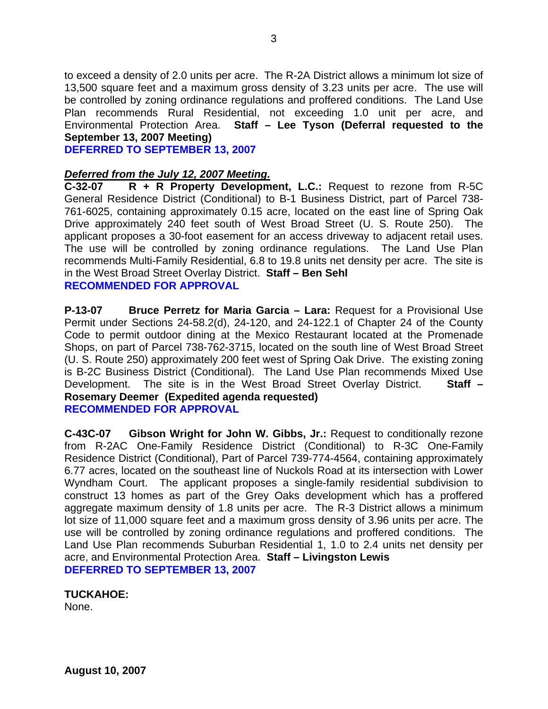to exceed a density of 2.0 units per acre. The R-2A District allows a minimum lot size of 13,500 square feet and a maximum gross density of 3.23 units per acre. The use will be controlled by zoning ordinance regulations and proffered conditions. The Land Use Plan recommends Rural Residential, not exceeding 1.0 unit per acre, and Environmental Protection Area. **Staff – Lee Tyson (Deferral requested to the September 13, 2007 Meeting)** 

**DEFERRED TO SEPTEMBER 13, 2007** 

## *Deferred from the July 12, 2007 Meeting.*

**C-32-07 R + R Property Development, L.C.:** Request to rezone from R-5C General Residence District (Conditional) to B-1 Business District, part of Parcel 738- 761-6025, containing approximately 0.15 acre, located on the east line of Spring Oak Drive approximately 240 feet south of West Broad Street (U. S. Route 250). The applicant proposes a 30-foot easement for an access driveway to adjacent retail uses. The use will be controlled by zoning ordinance regulations. The Land Use Plan recommends Multi-Family Residential, 6.8 to 19.8 units net density per acre. The site is in the West Broad Street Overlay District. **Staff – Ben Sehl RECOMMENDED FOR APPROVAL** 

**P-13-07 Bruce Perretz for Maria Garcia – Lara:** Request for a Provisional Use Permit under Sections 24-58.2(d), 24-120, and 24-122.1 of Chapter 24 of the County Code to permit outdoor dining at the Mexico Restaurant located at the Promenade Shops, on part of Parcel 738-762-3715, located on the south line of West Broad Street (U. S. Route 250) approximately 200 feet west of Spring Oak Drive. The existing zoning is B-2C Business District (Conditional). The Land Use Plan recommends Mixed Use Development. The site is in the West Broad Street Overlay District. **Staff – Rosemary Deemer (Expedited agenda requested) RECOMMENDED FOR APPROVAL** 

**C-43C-07 Gibson Wright for John W. Gibbs, Jr.:** Request to conditionally rezone from R-2AC One-Family Residence District (Conditional) to R-3C One-Family Residence District (Conditional), Part of Parcel 739-774-4564, containing approximately 6.77 acres, located on the southeast line of Nuckols Road at its intersection with Lower Wyndham Court. The applicant proposes a single-family residential subdivision to construct 13 homes as part of the Grey Oaks development which has a proffered aggregate maximum density of 1.8 units per acre. The R-3 District allows a minimum lot size of 11,000 square feet and a maximum gross density of 3.96 units per acre. The use will be controlled by zoning ordinance regulations and proffered conditions. The Land Use Plan recommends Suburban Residential 1, 1.0 to 2.4 units net density per acre, and Environmental Protection Area. **Staff – Livingston Lewis DEFERRED TO SEPTEMBER 13, 2007** 

## **TUCKAHOE:**

None.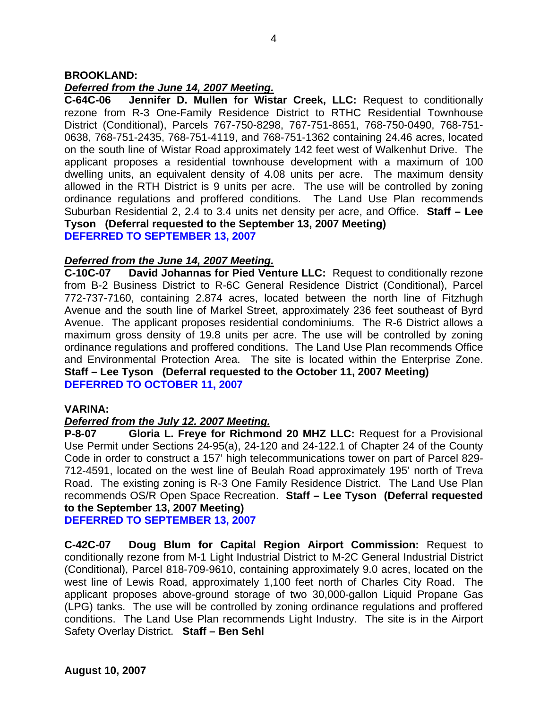## **BROOKLAND:**

# *Deferred from the June 14, 2007 Meeting.*

**C-64C-06 Jennifer D. Mullen for Wistar Creek, LLC:** Request to conditionally rezone from R-3 One-Family Residence District to RTHC Residential Townhouse District (Conditional), Parcels 767-750-8298, 767-751-8651, 768-750-0490, 768-751- 0638, 768-751-2435, 768-751-4119, and 768-751-1362 containing 24.46 acres, located on the south line of Wistar Road approximately 142 feet west of Walkenhut Drive. The applicant proposes a residential townhouse development with a maximum of 100 dwelling units, an equivalent density of 4.08 units per acre. The maximum density allowed in the RTH District is 9 units per acre. The use will be controlled by zoning ordinance regulations and proffered conditions. The Land Use Plan recommends Suburban Residential 2, 2.4 to 3.4 units net density per acre, and Office. **Staff – Lee Tyson (Deferral requested to the September 13, 2007 Meeting) DEFERRED TO SEPTEMBER 13, 2007** 

# *Deferred from the June 14, 2007 Meeting.*

**C-10C-07 David Johannas for Pied Venture LLC:** Request to conditionally rezone from B-2 Business District to R-6C General Residence District (Conditional), Parcel 772-737-7160, containing 2.874 acres, located between the north line of Fitzhugh Avenue and the south line of Markel Street, approximately 236 feet southeast of Byrd Avenue. The applicant proposes residential condominiums. The R-6 District allows a maximum gross density of 19.8 units per acre. The use will be controlled by zoning ordinance regulations and proffered conditions. The Land Use Plan recommends Office and Environmental Protection Area. The site is located within the Enterprise Zone. **Staff – Lee Tyson (Deferral requested to the October 11, 2007 Meeting) DEFERRED TO OCTOBER 11, 2007** 

## **VARINA:**

# *Deferred from the July 12. 2007 Meeting.*

**P-8-07 Gloria L. Freye for Richmond 20 MHZ LLC:** Request for a Provisional Use Permit under Sections 24-95(a), 24-120 and 24-122.1 of Chapter 24 of the County Code in order to construct a 157' high telecommunications tower on part of Parcel 829- 712-4591, located on the west line of Beulah Road approximately 195' north of Treva Road. The existing zoning is R-3 One Family Residence District. The Land Use Plan recommends OS/R Open Space Recreation. **Staff – Lee Tyson (Deferral requested to the September 13, 2007 Meeting)** 

**DEFERRED TO SEPTEMBER 13, 2007** 

**C-42C-07 Doug Blum for Capital Region Airport Commission:** Request to conditionally rezone from M-1 Light Industrial District to M-2C General Industrial District (Conditional), Parcel 818-709-9610, containing approximately 9.0 acres, located on the west line of Lewis Road, approximately 1,100 feet north of Charles City Road. The applicant proposes above-ground storage of two 30,000-gallon Liquid Propane Gas (LPG) tanks. The use will be controlled by zoning ordinance regulations and proffered conditions. The Land Use Plan recommends Light Industry. The site is in the Airport Safety Overlay District. **Staff – Ben Sehl**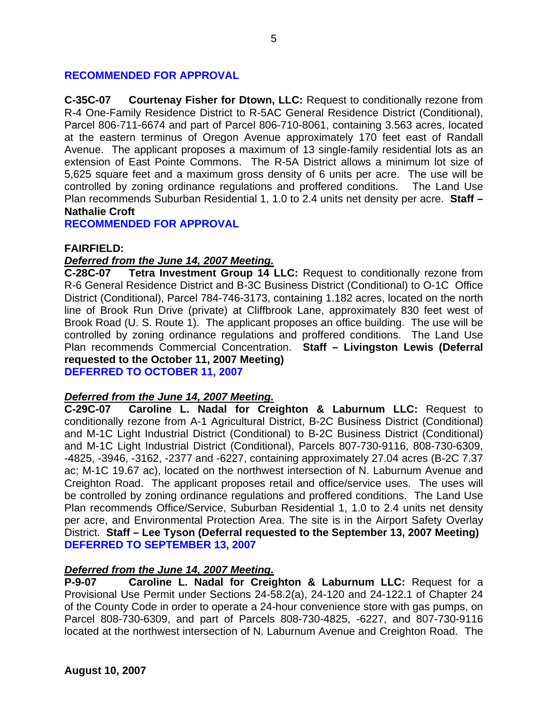# **RECOMMENDED FOR APPROVAL**

**C-35C-07 Courtenay Fisher for Dtown, LLC:** Request to conditionally rezone from R-4 One-Family Residence District to R-5AC General Residence District (Conditional), Parcel 806-711-6674 and part of Parcel 806-710-8061, containing 3.563 acres, located at the eastern terminus of Oregon Avenue approximately 170 feet east of Randall Avenue. The applicant proposes a maximum of 13 single-family residential lots as an extension of East Pointe Commons. The R-5A District allows a minimum lot size of 5,625 square feet and a maximum gross density of 6 units per acre. The use will be controlled by zoning ordinance regulations and proffered conditions. The Land Use Plan recommends Suburban Residential 1, 1.0 to 2.4 units net density per acre. **Staff – Nathalie Croft** 

**RECOMMENDED FOR APPROVAL** 

## **FAIRFIELD:**

#### *Deferred from the June 14, 2007 Meeting.*

**C-28C-07 Tetra Investment Group 14 LLC:** Request to conditionally rezone from R-6 General Residence District and B-3C Business District (Conditional) to O-1C Office District (Conditional), Parcel 784-746-3173, containing 1.182 acres, located on the north line of Brook Run Drive (private) at Cliffbrook Lane, approximately 830 feet west of Brook Road (U. S. Route 1). The applicant proposes an office building. The use will be controlled by zoning ordinance regulations and proffered conditions. The Land Use Plan recommends Commercial Concentration. **Staff – Livingston Lewis (Deferral requested to the October 11, 2007 Meeting) DEFERRED TO OCTOBER 11, 2007** 

# *Deferred from the June 14, 2007 Meeting.*

**C-29C-07 Caroline L. Nadal for Creighton & Laburnum LLC:** Request to conditionally rezone from A-1 Agricultural District, B-2C Business District (Conditional) and M-1C Light Industrial District (Conditional) to B-2C Business District (Conditional) and M-1C Light Industrial District (Conditional), Parcels 807-730-9116, 808-730-6309, -4825, -3946, -3162, -2377 and -6227, containing approximately 27.04 acres (B-2C 7.37 ac; M-1C 19.67 ac), located on the northwest intersection of N. Laburnum Avenue and Creighton Road. The applicant proposes retail and office/service uses. The uses will be controlled by zoning ordinance regulations and proffered conditions. The Land Use Plan recommends Office/Service, Suburban Residential 1, 1.0 to 2.4 units net density per acre, and Environmental Protection Area. The site is in the Airport Safety Overlay District. **Staff – Lee Tyson (Deferral requested to the September 13, 2007 Meeting) DEFERRED TO SEPTEMBER 13, 2007** 

## *Deferred from the June 14, 2007 Meeting.*

**P-9-07 Caroline L. Nadal for Creighton & Laburnum LLC:** Request for a Provisional Use Permit under Sections 24-58.2(a), 24-120 and 24-122.1 of Chapter 24 of the County Code in order to operate a 24-hour convenience store with gas pumps, on Parcel 808-730-6309, and part of Parcels 808-730-4825, -6227, and 807-730-9116 located at the northwest intersection of N. Laburnum Avenue and Creighton Road. The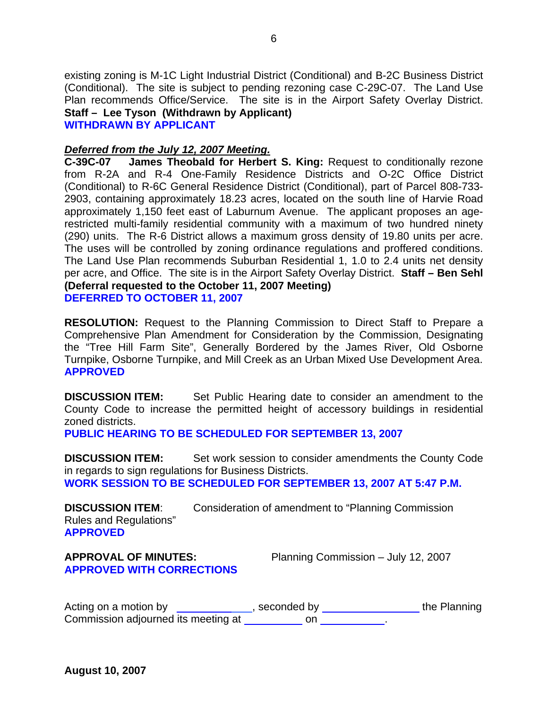existing zoning is M-1C Light Industrial District (Conditional) and B-2C Business District (Conditional). The site is subject to pending rezoning case C-29C-07. The Land Use Plan recommends Office/Service. The site is in the Airport Safety Overlay District. **Staff – Lee Tyson (Withdrawn by Applicant) WITHDRAWN BY APPLICANT** 

# *Deferred from the July 12, 2007 Meeting.*

**C-39C-07 James Theobald for Herbert S. King:** Request to conditionally rezone from R-2A and R-4 One-Family Residence Districts and O-2C Office District (Conditional) to R-6C General Residence District (Conditional), part of Parcel 808-733- 2903, containing approximately 18.23 acres, located on the south line of Harvie Road approximately 1,150 feet east of Laburnum Avenue. The applicant proposes an agerestricted multi-family residential community with a maximum of two hundred ninety (290) units. The R-6 District allows a maximum gross density of 19.80 units per acre. The uses will be controlled by zoning ordinance regulations and proffered conditions. The Land Use Plan recommends Suburban Residential 1, 1.0 to 2.4 units net density per acre, and Office. The site is in the Airport Safety Overlay District. **Staff – Ben Sehl (Deferral requested to the October 11, 2007 Meeting) DEFERRED TO OCTOBER 11, 2007** 

**RESOLUTION:** Request to the Planning Commission to Direct Staff to Prepare a Comprehensive Plan Amendment for Consideration by the Commission, Designating the "Tree Hill Farm Site", Generally Bordered by the James River, Old Osborne Turnpike, Osborne Turnpike, and Mill Creek as an Urban Mixed Use Development Area. **APPROVED** 

**DISCUSSION ITEM:** Set Public Hearing date to consider an amendment to the County Code to increase the permitted height of accessory buildings in residential zoned districts.

**PUBLIC HEARING TO BE SCHEDULED FOR SEPTEMBER 13, 2007** 

**DISCUSSION ITEM:** Set work session to consider amendments the County Code in regards to sign regulations for Business Districts. **WORK SESSION TO BE SCHEDULED FOR SEPTEMBER 13, 2007 AT 5:47 P.M.** 

**DISCUSSION ITEM**: Consideration of amendment to "Planning Commission Rules and Regulations" **APPROVED**

# **APPROVED WITH CORRECTIONS**

**APPROVAL OF MINUTES:** Planning Commission – July 12, 2007

Acting on a motion by  $\sqrt{1-\frac{1}{\sqrt{1-\frac{1}{\sqrt{1-\frac{1}{\sqrt{1-\frac{1}{\sqrt{1-\frac{1}{\sqrt{1-\frac{1}{\sqrt{1-\frac{1}{\sqrt{1-\frac{1}{\sqrt{1-\frac{1}{\sqrt{1-\frac{1}{\sqrt{1-\frac{1}{\sqrt{1-\frac{1}{\sqrt{1-\frac{1}{\sqrt{1-\frac{1}{\sqrt{1-\frac{1}{\sqrt{1-\frac{1}{\sqrt{1-\frac{1}{\sqrt{1-\frac{1}{\sqrt{1-\frac{1}{\sqrt{1-\frac{1}{\sqrt{1-\frac{1}{\sqrt{1-\frac{1}{\$ Commission adjourned its meeting at \_\_\_\_\_\_\_\_\_ on \_\_\_\_\_\_\_\_\_\_\_\_.